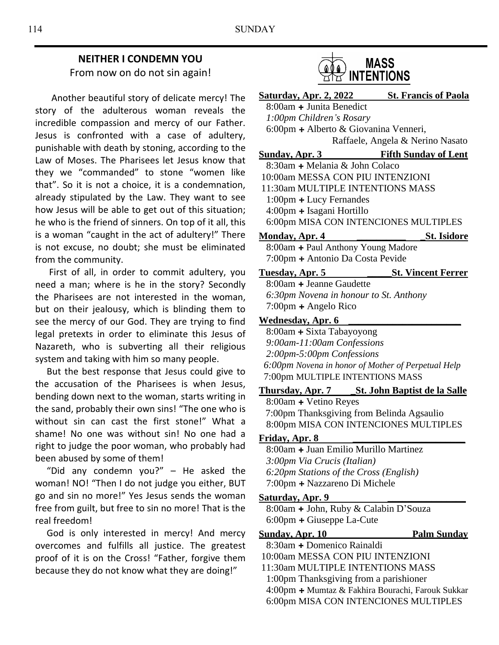## **NEITHER I CONDEMN YOU** From now on do not sin again!

 Another beautiful story of delicate mercy! The story of the adulterous woman reveals the incredible compassion and mercy of our Father. Jesus is confronted with a case of adultery, punishable with death by stoning, according to the Law of Moses. The Pharisees let Jesus know that they we "commanded" to stone "women like that". So it is not a choice, it is a condemnation, already stipulated by the Law. They want to see how Jesus will be able to get out of this situation; he who is the friend of sinners. On top of it all, this is a woman "caught in the act of adultery!" There is not excuse, no doubt; she must be eliminated from the community.

 First of all, in order to commit adultery, you need a man; where is he in the story? Secondly the Pharisees are not interested in the woman, but on their jealousy, which is blinding them to see the mercy of our God. They are trying to find legal pretexts in order to eliminate this Jesus of Nazareth, who is subverting all their religious system and taking with him so many people.

 But the best response that Jesus could give to the accusation of the Pharisees is when Jesus, bending down next to the woman, starts writing in the sand, probably their own sins! "The one who is without sin can cast the first stone!" What a shame! No one was without sin! No one had a right to judge the poor woman, who probably had been abused by some of them!

 "Did any condemn you?" – He asked the woman! NO! "Then I do not judge you either, BUT go and sin no more!" Yes Jesus sends the woman free from guilt, but free to sin no more! That is the real freedom!

 God is only interested in mercy! And mercy overcomes and fulfills all justice. The greatest proof of it is on the Cross! "Father, forgive them because they do not know what they are doing!"



| <u>Saturday, Apr. 2, 2022</u>                                    | <b>St. Francis of Paola</b> |
|------------------------------------------------------------------|-----------------------------|
| 8:00am + Junita Benedict                                         |                             |
| 1:00pm Children's Rosary                                         |                             |
| 6:00pm + Alberto & Giovanina Venneri,                            |                             |
| Raffaele, Angela & Nerino Nasato                                 |                             |
| <u>and a strong and a strong strong</u><br><b>Sunday, Apr. 3</b> | <b>Fifth Sunday of Lent</b> |
| 8:30am + Melania & John Colaco                                   |                             |
| 10:00am MESSA CON PIU INTENZIONI                                 |                             |
| 11:30am MULTIPLE INTENTIONS MASS                                 |                             |
| 1:00pm + Lucy Fernandes                                          |                             |
| 4:00pm + Isagani Hortillo                                        |                             |
| 6:00pm MISA CON INTENCIONES MULTIPLES                            |                             |
| <b>Monday, Apr. 4</b>                                            | <b>St. Isidore</b>          |
| 8:00am + Paul Anthony Young Madore                               |                             |
| 7:00pm + Antonio Da Costa Pevide                                 |                             |
| Tuesday, Apr. 5                                                  | <b>St. Vincent Ferrer</b>   |
| 8:00am + Jeanne Gaudette                                         |                             |
| 6:30pm Novena in honour to St. Anthony                           |                             |
| $7:00 \text{pm} + \text{Angle}$ Rico                             |                             |
| <b>Wednesday, Apr. 6</b>                                         |                             |
| 8:00am + Sixta Tabayoyong                                        |                             |
| 9:00am-11:00am Confessions                                       |                             |
| 2:00pm-5:00pm Confessions                                        |                             |
| 6:00pm Novena in honor of Mother of Perpetual Help               |                             |
| 7:00pm MULTIPLE INTENTIONS MASS                                  |                             |
|                                                                  |                             |
| 8:00am + Vetino Reyes                                            |                             |
| 7:00pm Thanksgiving from Belinda Agsaulio                        |                             |
| 8:00pm MISA CON INTENCIONES MULTIPLES                            |                             |
| Friday, Apr. 8                                                   |                             |
| 8:00am + Juan Emilio Murillo Martinez                            |                             |
| 3:00pm Via Crucis (Italian)                                      |                             |
| 6:20pm Stations of the Cross (English)                           |                             |
| 7:00pm + Nazzareno Di Michele                                    |                             |

#### Saturday, Apr. 9

8:00am **+** John, Ruby & Calabin D'Souza 6:00pm **+** Giuseppe La-Cute

# **Sunday, Apr. 10 Palm Sunday**

8:30am **+** Domenico Rainaldi

- 10:00am MESSA CON PIU INTENZIONI
- 11:30am MULTIPLE INTENTIONS MASS 1:00pm Thanksgiving from a parishioner 4:00pm **+** Mumtaz & Fakhira Bourachi, Farouk Sukkar 6:00pm MISA CON INTENCIONES MULTIPLES